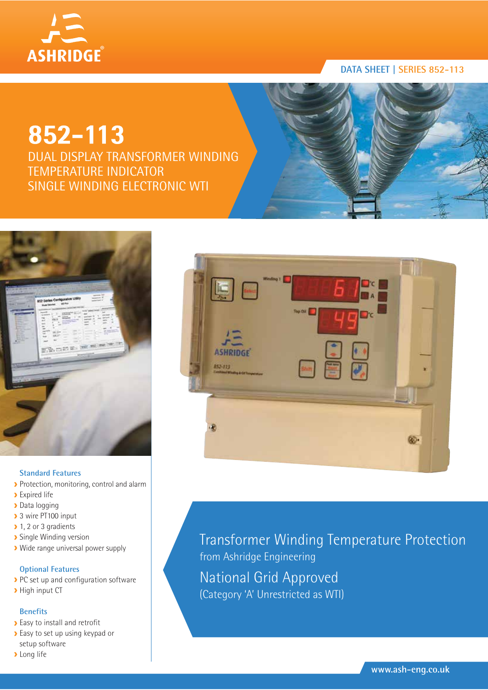

# **852-113**

DUAL DISPLAY TRANSFORMER WINDING TEMPERATURE INDICATOR SINGLE WINDING ELECTRONIC WTI



### **Standard Features**

- Protection, monitoring, control and alarm
- **>** Expired life
- > Data logging
- ▶ 3 wire PT100 input
- 1, 2 or 3 gradients
- **>** Single Winding version
- Wide range universal power supply

# **Optional Features**

- PC set up and configuration software
- **High input CT**

### **Benefits**

- **Easy to install and retrofit**
- Easy to set up using keypad or setup software
- **>** Long life



Transformer Winding Temperature Protection from Ashridge Engineering National Grid Approved (Category 'A' Unrestricted as WTI)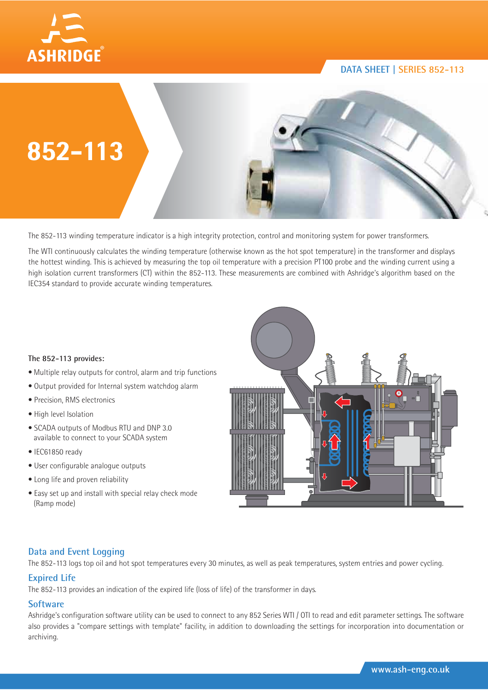



The 852-113 winding temperature indicator is a high integrity protection, control and monitoring system for power transformers.

The WTI continuously calculates the winding temperature (otherwise known as the hot spot temperature) in the transformer and displays the hottest winding. This is achieved by measuring the top oil temperature with a precision PT100 probe and the winding current using a high isolation current transformers (CT) within the 852-113. These measurements are combined with Ashridge's algorithm based on the IEC354 standard to provide accurate winding temperatures.

#### **The 852-113 provides:**

- Multiple relay outputs for control, alarm and trip functions
- Output provided for Internal system watchdog alarm
- Precision, RMS electronics
- High level Isolation
- SCADA outputs of Modbus RTU and DNP 3.0 available to connect to your SCADA system
- IEC61850 ready
- User configurable analogue outputs
- Long life and proven reliability
- Easy set up and install with special relay check mode (Ramp mode)



# **Data and Event Logging**

The 852-113 logs top oil and hot spot temperatures every 30 minutes, as well as peak temperatures, system entries and power cycling.

### **Expired Life**

The 852-113 provides an indication of the expired life (loss of life) of the transformer in days.

### **Software**

Ashridge's configuration software utility can be used to connect to any 852 Series WTI / OTI to read and edit parameter settings. The software also provides a "compare settings with template" facility, in addition to downloading the settings for incorporation into documentation or archiving.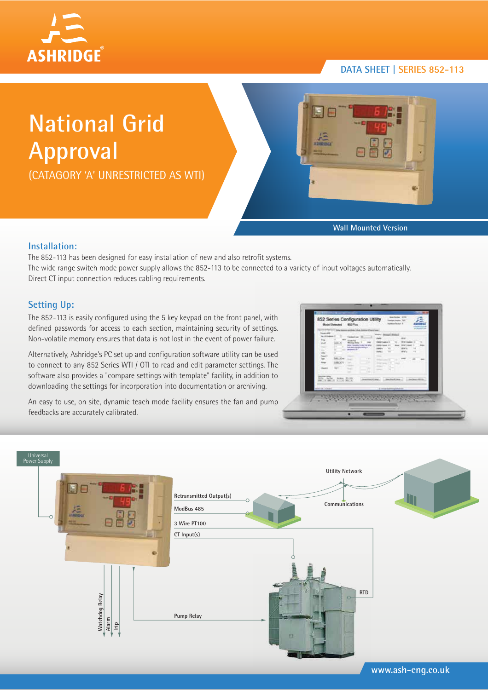

# **National Grid Approval**

(CATAGORY 'A' UNRESTRICTED AS WTI)



**Wall Mounted Version**

## **Installation:**

The 852-113 has been designed for easy installation of new and also retrofit systems. The wide range switch mode power supply allows the 852-113 to be connected to a variety of input voltages automatically. Direct CT input connection reduces cabling requirements.

# **Setting Up:**

The 852-113 is easily configured using the 5 key keypad on the front panel, with defined passwords for access to each section, maintaining security of settings. Non-volatile memory ensures that data is not lost in the event of power failure.

Alternatively, Ashridge's PC set up and configuration software utility can be used to connect to any 852 Series WTI / OTI to read and edit parameter settings. The software also provides a "compare settings with template" facility, in addition to downloading the settings for incorporation into documentation or archiving.

An easy to use, on site, dynamic teach mode facility ensures the fan and pump feedbacks are accurately calibrated.

| to id but<br>E.<br>$\sim$<br><b>Abit</b><br>×<br><b>ALL YOUR</b><br><b>Haraki</b> | <b>Federal Age 120</b><br><b>Stopp Fair</b><br><b>Number Prints</b><br>anja (tanani) isan ing pina<br>kalendaripa salaya<br><b>T. MAR</b><br>-<br>$\sim$<br>$-$<br>.<br>×. | Ford Chessel Street<br><b>MATURE IT</b><br>$\sim$<br>$\cdots$<br><b>START OF</b><br>a.<br><b>DISCUSSION</b><br>$-0.011$<br>-<br>×<br>company of | <b>URLAN</b><br>With laughed in<br><b>DOM: LANK</b><br><b>Wall</b><br>mar.<br><b>County</b> |  |
|-----------------------------------------------------------------------------------|----------------------------------------------------------------------------------------------------------------------------------------------------------------------------|-------------------------------------------------------------------------------------------------------------------------------------------------|---------------------------------------------------------------------------------------------|--|
| <b>Married Wales</b><br><b>WEIGHT THE ROOM</b><br><b>DESIGNATION</b>              |                                                                                                                                                                            | A record balance with hit is                                                                                                                    |                                                                                             |  |